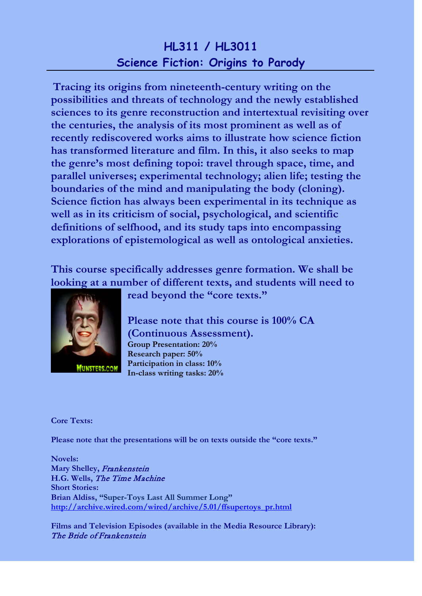## **HL311 / HL3011 Science Fiction: Origins to Parody**

**Tracing its origins from nineteenth-century writing on the possibilities and threats of technology and the newly established sciences to its genre reconstruction and intertextual revisiting over the centuries, the analysis of its most prominent as well as of recently rediscovered works aims to illustrate how science fiction has transformed literature and film. In this, it also seeks to map the genre's most defining topoi: travel through space, time, and parallel universes; experimental technology; alien life; testing the boundaries of the mind and manipulating the body (cloning). Science fiction has always been experimental in its technique as well as in its criticism of social, psychological, and scientific definitions of selfhood, and its study taps into encompassing explorations of epistemological as well as ontological anxieties.**

**This course specifically addresses genre formation. We shall be looking at a number of different texts, and students will need to** 



**read beyond the "core texts."**

**Please note that this course is 100% CA (Continuous Assessment). Group Presentation: 20% Research paper: 50% Participation in class: 10% In-class writing tasks: 20%**

**Core Texts:**

**Please note that the presentations will be on texts outside the "core texts."**

**Novels: Mary Shelley,** Frankenstein **H.G. Wells,** The Time Machine **Short Stories: Brian Aldiss, "Super-Toys Last All Summer Long" [http://archive.wired.com/wired/archive/5.01/ffsupertoys\\_pr.html](http://archive.wired.com/wired/archive/5.01/ffsupertoys_pr.html)**

**Films and Television Episodes (available in the Media Resource Library):** The Bride of Frankenstein